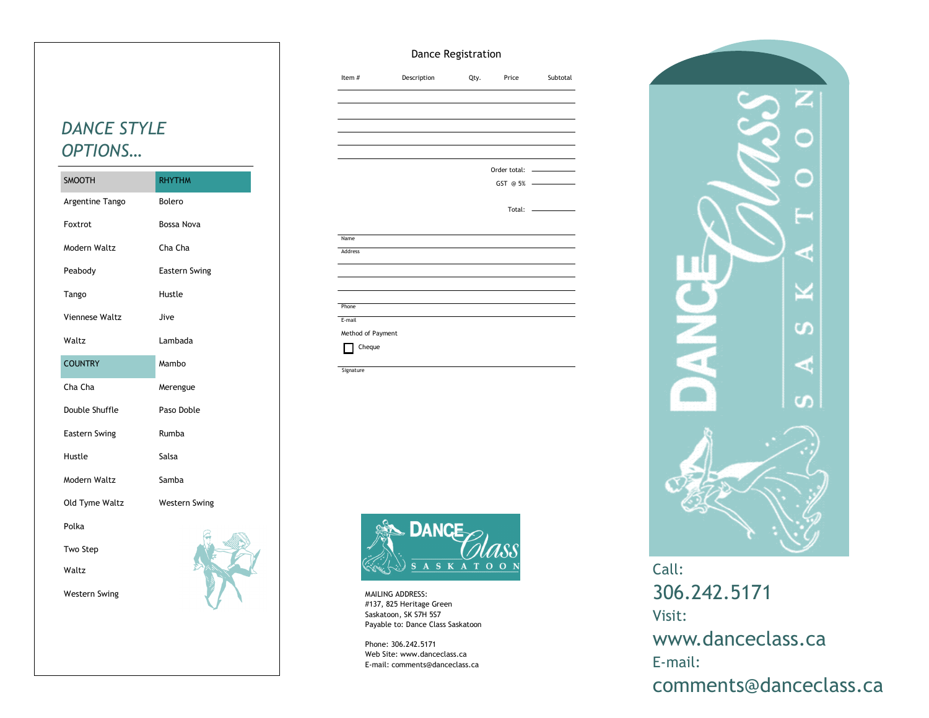### Dance Registration

| <b>DANCE STYLE</b> |
|--------------------|
| OPTIONS            |

| <b>SMOOTH</b>        | <b>RHYTHM</b>        |
|----------------------|----------------------|
| Argentine Tango      | <b>Bolero</b>        |
| Foxtrot              | <b>Bossa Nova</b>    |
| Modern Waltz         | Cha Cha              |
| Peabody              | <b>Eastern Swing</b> |
| Tango                | Hustle               |
| Viennese Waltz       | Jive                 |
| Waltz                | Lambada              |
| <b>COUNTRY</b>       | Mambo                |
| Cha Cha              | Merengue             |
| Double Shuffle       | Paso Doble           |
| Eastern Swing        | Rumba                |
| Hustle               | Salsa                |
| Modern Waltz         | Samba                |
| Old Tyme Waltz       | <b>Western Swing</b> |
| Polka                |                      |
| Two Step             |                      |
| Waltz                |                      |
| <b>Western Swing</b> |                      |

| Item#             | Description | Qty. | Price       | Subtotal                      |
|-------------------|-------------|------|-------------|-------------------------------|
|                   |             |      |             |                               |
|                   |             |      |             |                               |
|                   |             |      |             |                               |
|                   |             |      |             |                               |
|                   |             |      |             |                               |
|                   |             |      |             |                               |
|                   |             |      |             |                               |
|                   |             |      | Total:<br>÷ | the control of the control of |
|                   |             |      |             |                               |
| Name              |             |      |             |                               |
| Address           |             |      |             |                               |
|                   |             |      |             |                               |
|                   |             |      |             |                               |
| Phone             |             |      |             |                               |
| E-mail            |             |      |             |                               |
|                   |             |      |             |                               |
| Method of Payment |             |      |             |                               |
| Cheque            |             |      |             |                               |



MAILING ADDRESS: #137, 825 Heritage Green Saskatoon, SK S7H 5S7 Payable to: Dance Class Saskatoon

**Signature** 

Phone: 306.242.5171 Web Site: www.danceclass.ca E-mail: comments@danceclass.ca



Call: 306.242.5171 Visit: www.danceclass.ca E-mail: comments@danceclass.ca